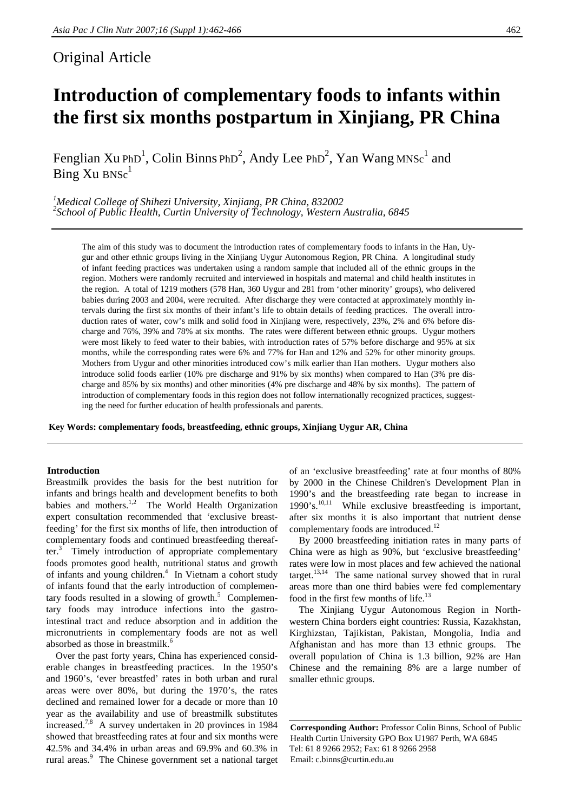# Original Article

# **Introduction of complementary foods to infants within the first six months postpartum in Xinjiang, PR China**

Fenglian Xu PhD<sup>1</sup>, Colin Binns PhD<sup>2</sup>, Andy Lee PhD<sup>2</sup>, Yan Wang MNSc<sup>1</sup> and  $Bine Xu BNSc<sup>1</sup>$ 

<sup>1</sup><br>
<sup>1</sup> Medical College of Shihezi University, Xinjiang, PR China, 832002<br>
<sup>2</sup> Sebaal of Public Health, Curtin University of Technology, Western *School of Public Health, Curtin University of Technology, Western Australia, 6845* 

The aim of this study was to document the introduction rates of complementary foods to infants in the Han, Uygur and other ethnic groups living in the Xinjiang Uygur Autonomous Region, PR China. A longitudinal study of infant feeding practices was undertaken using a random sample that included all of the ethnic groups in the region. Mothers were randomly recruited and interviewed in hospitals and maternal and child health institutes in the region.A total of 1219 mothers (578 Han, 360 Uygur and 281 from 'other minority' groups), who delivered babies during 2003 and 2004, were recruited. After discharge they were contacted at approximately monthly intervals during the first six months of their infant's life to obtain details of feeding practices. The overall introduction rates of water, cow's milk and solid food in Xinjiang were, respectively, 23%, 2% and 6% before discharge and 76%, 39% and 78% at six months. The rates were different between ethnic groups. Uygur mothers were most likely to feed water to their babies, with introduction rates of 57% before discharge and 95% at six months, while the corresponding rates were 6% and 77% for Han and 12% and 52% for other minority groups. Mothers from Uygur and other minorities introduced cow's milk earlier than Han mothers. Uygur mothers also introduce solid foods earlier (10% pre discharge and 91% by six months) when compared to Han (3% pre discharge and 85% by six months) and other minorities (4% pre discharge and 48% by six months). The pattern of introduction of complementary foods in this region does not follow internationally recognized practices, suggesting the need for further education of health professionals and parents.

**Key Words: complementary foods, breastfeeding, ethnic groups, Xinjiang Uygur AR, China** 

# **Introduction**

Breastmilk provides the basis for the best nutrition for infants and brings health and development benefits to both babies and mothers.<sup>1,2</sup> The World Health Organization expert consultation recommended that 'exclusive breastfeeding' for the first six months of life, then introduction of complementary foods and continued breastfeeding thereafter. $3$  Timely introduction of appropriate complementary foods promotes good health, nutritional status and growth of infants and young children.<sup>4</sup> In Vietnam a cohort study of infants found that the early introduction of complementary foods resulted in a slowing of growth. $5$  Complementary foods may introduce infections into the gastrointestinal tract and reduce absorption and in addition the micronutrients in complementary foods are not as well absorbed as those in breastmilk.<sup>6</sup>

Over the past forty years, China has experienced considerable changes in breastfeeding practices. In the 1950's and 1960's, 'ever breastfed' rates in both urban and rural areas were over 80%, but during the 1970's, the rates declined and remained lower for a decade or more than 10 year as the availability and use of breastmilk substitutes increased.7,8 A survey undertaken in 20 provinces in 1984 showed that breastfeeding rates at four and six months were 42.5% and 34.4% in urban areas and 69.9% and 60.3% in rural areas.<sup>9</sup> The Chinese government set a national target of an 'exclusive breastfeeding' rate at four months of 80% by 2000 in the Chinese Children's Development Plan in 1990's and the breastfeeding rate began to increase in  $1990's$ <sup>10,11</sup> While exclusive breastfeeding is important, after six months it is also important that nutrient dense complementary foods are introduced.<sup>12</sup>

By 2000 breastfeeding initiation rates in many parts of China were as high as 90%, but 'exclusive breastfeeding' rates were low in most places and few achieved the national target.<sup>13,14</sup> The same national survey showed that in rural areas more than one third babies were fed complementary food in the first few months of life.<sup>13</sup>

The Xinjiang Uygur Autonomous Region in Northwestern China borders eight countries: Russia, Kazakhstan, Kirghizstan, Tajikistan, Pakistan, Mongolia, India and Afghanistan and has more than 13 ethnic groups. The overall population of China is 1.3 billion, 92% are Han Chinese and the remaining 8% are a large number of smaller ethnic groups.

**Corresponding Author:** Professor Colin Binns, School of Public Health Curtin University GPO Box U1987 Perth, WA 6845 Tel: 61 8 9266 2952; Fax: 61 8 9266 2958 Email: c.binns@curtin.edu.au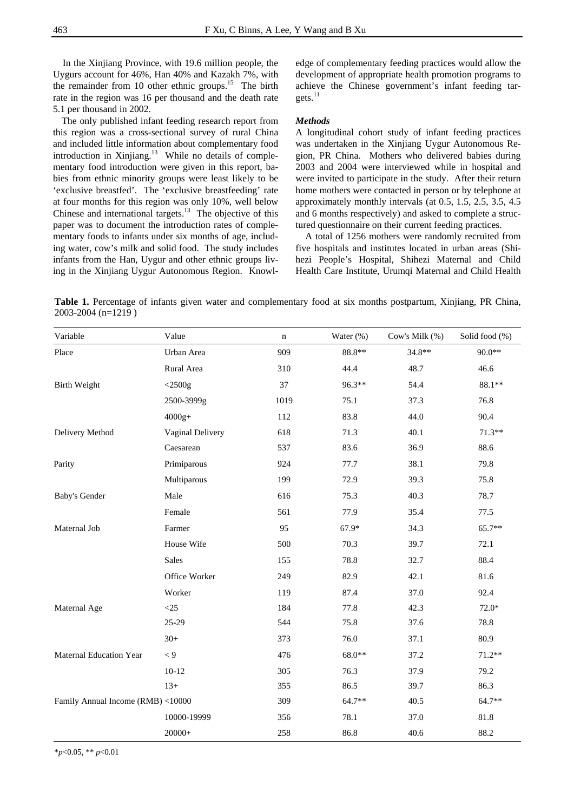In the Xinjiang Province, with 19.6 million people, the Uygurs account for 46%, Han 40% and Kazakh 7%, with the remainder from 10 other ethnic groups.<sup>15</sup> The birth rate in the region was 16 per thousand and the death rate 5.1 per thousand in 2002.

The only published infant feeding research report from this region was a cross-sectional survey of rural China and included little information about complementary food introduction in Xinjiang.<sup>13</sup> While no details of complementary food introduction were given in this report, babies from ethnic minority groups were least likely to be 'exclusive breastfed'. The 'exclusive breastfeeding' rate at four months for this region was only 10%, well below Chinese and international targets. $13$  The objective of this paper was to document the introduction rates of complementary foods to infants under six months of age, including water, cow's milk and solid food. The study includes infants from the Han, Uygur and other ethnic groups living in the Xinjiang Uygur Autonomous Region. Knowledge of complementary feeding practices would allow the development of appropriate health promotion programs to achieve the Chinese government's infant feeding targets.<sup>11</sup>

## *Methods*

A longitudinal cohort study of infant feeding practices was undertaken in the Xinjiang Uygur Autonomous Region, PR China. Mothers who delivered babies during 2003 and 2004 were interviewed while in hospital and were invited to participate in the study. After their return home mothers were contacted in person or by telephone at approximately monthly intervals (at 0.5, 1.5, 2.5, 3.5, 4.5 and 6 months respectively) and asked to complete a structured questionnaire on their current feeding practices.

A total of 1256 mothers were randomly recruited from five hospitals and institutes located in urban areas (Shihezi People's Hospital, Shihezi Maternal and Child Health Care Institute, Urumqi Maternal and Child Health

**Table 1.** Percentage of infants given water and complementary food at six months postpartum, Xinjiang, PR China, 2003-2004 (n=1219 )

| Variable                          | Value            | $\mathbf n$ | Water (%) | Cow's Milk (%) | Solid food (%) |
|-----------------------------------|------------------|-------------|-----------|----------------|----------------|
| Place                             | Urban Area       | 909         | $88.8**$  | 34.8**         | 90.0**         |
|                                   | Rural Area       | 310         | 44.4      | 48.7           | 46.6           |
| <b>Birth Weight</b>               | $<$ 2500g        | 37          | 96.3**    | 54.4           | $88.1**$       |
|                                   | 2500-3999g       | 1019        | 75.1      | 37.3           | 76.8           |
|                                   | $4000g+$         | 112         | 83.8      | 44.0           | 90.4           |
| Delivery Method                   | Vaginal Delivery | 618         | 71.3      | 40.1           | $71.3**$       |
|                                   | Caesarean        | 537         | 83.6      | 36.9           | 88.6           |
| Parity                            | Primiparous      | 924         | 77.7      | 38.1           | 79.8           |
|                                   | Multiparous      | 199         | 72.9      | 39.3           | 75.8           |
| <b>Baby's Gender</b>              | Male             | 616         | 75.3      | 40.3           | 78.7           |
|                                   | Female           | 561         | 77.9      | 35.4           | 77.5           |
| Maternal Job                      | Farmer           | 95          | 67.9*     | 34.3           | 65.7**         |
|                                   | House Wife       | 500         | 70.3      | 39.7           | 72.1           |
|                                   | Sales            | 155         | 78.8      | 32.7           | 88.4           |
|                                   | Office Worker    | 249         | 82.9      | 42.1           | 81.6           |
|                                   | Worker           | 119         | 87.4      | 37.0           | 92.4           |
| Maternal Age                      | $<$ 25           | 184         | 77.8      | 42.3           | $72.0*$        |
|                                   | 25-29            | 544         | 75.8      | 37.6           | 78.8           |
|                                   | $30+$            | 373         | 76.0      | 37.1           | 80.9           |
| <b>Maternal Education Year</b>    | $\lt 9$          | 476         | 68.0**    | 37.2           | $71.2**$       |
|                                   | $10 - 12$        | 305         | 76.3      | 37.9           | 79.2           |
|                                   | $13+$            | 355         | 86.5      | 39.7           | 86.3           |
| Family Annual Income (RMB) <10000 |                  | 309         | 64.7**    | 40.5           | 64.7**         |
|                                   | 10000-19999      | 356         | 78.1      | 37.0           | 81.8           |
|                                   | $20000+$         | 258         | 86.8      | 40.6           | 88.2           |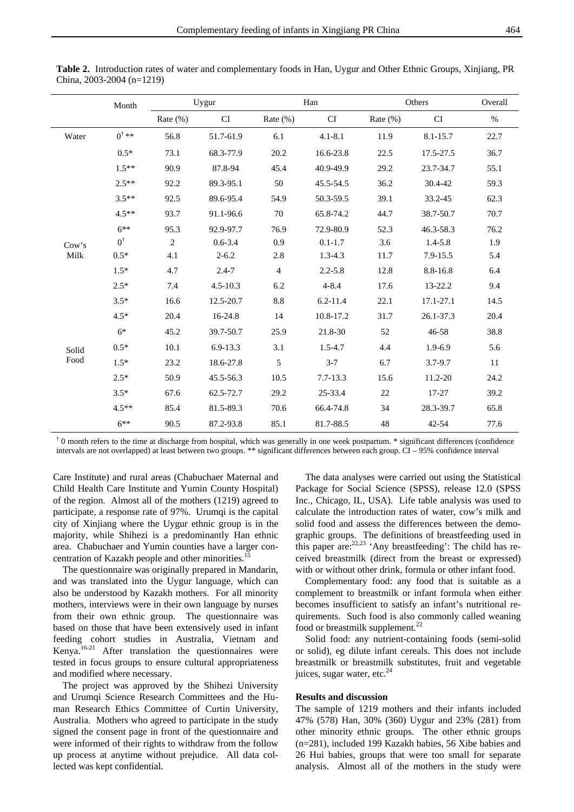|               | Month            | Uygur          |              | Han            |                            | Others       |                            | Overall |
|---------------|------------------|----------------|--------------|----------------|----------------------------|--------------|----------------------------|---------|
|               |                  | Rate $(\% )$   | CI           | Rate $(\% )$   | $\mathop{\rm CI}\nolimits$ | Rate $(\% )$ | $\mathop{\rm CI}\nolimits$ | $\%$    |
| Water         | $0^{\dagger}$ ** | 56.8           | 51.7-61.9    | 6.1            | $4.1 - 8.1$                | 11.9         | 8.1-15.7                   | 22.7    |
|               | $0.5*$           | 73.1           | 68.3-77.9    | 20.2           | 16.6-23.8                  | 22.5         | 17.5-27.5                  | 36.7    |
|               | $1.5**$          | 90.9           | 87.8-94      | 45.4           | 40.9-49.9                  | 29.2         | 23.7-34.7                  | 55.1    |
|               | $2.5**$          | 92.2           | 89.3-95.1    | 50             | 45.5-54.5                  | 36.2         | 30.4-42                    | 59.3    |
|               | $3.5**$          | 92.5           | 89.6-95.4    | 54.9           | 50.3-59.5                  | 39.1         | 33.2-45                    | 62.3    |
|               | $4.5**$          | 93.7           | 91.1-96.6    | 70             | 65.8-74.2                  | 44.7         | 38.7-50.7                  | 70.7    |
|               | $6***$           | 95.3           | 92.9-97.7    | 76.9           | 72.9-80.9                  | 52.3         | 46.3-58.3                  | 76.2    |
| Cow's         | $0^{\dagger}$    | $\overline{2}$ | $0.6 - 3.4$  | 0.9            | $0.1 - 1.7$                | 3.6          | $1.4 - 5.8$                | 1.9     |
| Milk          | $0.5*$           | 4.1            | $2 - 6.2$    | 2.8            | $1.3 - 4.3$                | 11.7         | 7.9-15.5                   | 5.4     |
|               | $1.5*$           | 4.7            | $2.4 - 7$    | $\overline{4}$ | $2.2 - 5.8$                | 12.8         | 8.8-16.8                   | 6.4     |
|               | $2.5*$           | 7.4            | $4.5 - 10.3$ | 6.2            | $4 - 8.4$                  | 17.6         | 13-22.2                    | 9.4     |
|               | $3.5*$           | 16.6           | 12.5-20.7    | $8.8\,$        | $6.2 - 11.4$               | 22.1         | 17.1-27.1                  | 14.5    |
|               | $4.5*$           | 20.4           | 16-24.8      | 14             | 10.8-17.2                  | 31.7         | 26.1-37.3                  | 20.4    |
|               | $6*$             | 45.2           | 39.7-50.7    | 25.9           | 21.8-30                    | 52           | 46-58                      | 38.8    |
| Solid<br>Food | $0.5*$           | 10.1           | $6.9 - 13.3$ | 3.1            | $1.5 - 4.7$                | 4.4          | 1.9-6.9                    | 5.6     |
|               | $1.5*$           | 23.2           | 18.6-27.8    | 5              | $3 - 7$                    | 6.7          | $3.7 - 9.7$                | 11      |
|               | $2.5*$           | 50.9           | 45.5-56.3    | 10.5           | 7.7-13.3                   | 15.6         | 11.2-20                    | 24.2    |
|               | $3.5*$           | 67.6           | 62.5-72.7    | 29.2           | 25-33.4                    | 22           | $17 - 27$                  | 39.2    |
|               | $4.5**$          | 85.4           | 81.5-89.3    | 70.6           | 66.4-74.8                  | 34           | 28.3-39.7                  | 65.8    |
|               | $6***$           | 90.5           | 87.2-93.8    | 85.1           | 81.7-88.5                  | 48           | $42 - 54$                  | 77.6    |

China, 2003-2004 (n=1219)

 $\dagger$  0 month refers to the time at discharge from hospital, which was generally in one week postpartum.  $*$  significant differences (confidence intervals are not overlapped) at least between two groups. \*\* significant differences between each group. CI – 95% confidence interval

Care Institute) and rural areas (Chabuchaer Maternal and Child Health Care Institute and Yumin County Hospital) of the region. Almost all of the mothers (1219) agreed to participate, a response rate of 97%. Urumqi is the capital city of Xinjiang where the Uygur ethnic group is in the majority, while Shihezi is a predominantly Han ethnic area. Chabuchaer and Yumin counties have a larger concentration of Kazakh people and other minorities.<sup>1</sup>

The questionnaire was originally prepared in Mandarin, and was translated into the Uygur language, which can also be understood by Kazakh mothers. For all minority mothers, interviews were in their own language by nurses from their own ethnic group. The questionnaire was based on those that have been extensively used in infant feeding cohort studies in Australia, Vietnam and Kenya.16-21 After translation the questionnaires were tested in focus groups to ensure cultural appropriateness and modified where necessary.

The project was approved by the Shihezi University and Urumqi Science Research Committees and the Human Research Ethics Committee of Curtin University, Australia. Mothers who agreed to participate in the study signed the consent page in front of the questionnaire and were informed of their rights to withdraw from the follow up process at anytime without prejudice. All data collected was kept confidential.

The data analyses were carried out using the Statistical Package for Social Science (SPSS), release 12.0 (SPSS Inc., Chicago, IL, USA). Life table analysis was used to calculate the introduction rates of water, cow's milk and solid food and assess the differences between the demographic groups. The definitions of breastfeeding used in this paper are:  $22,23$  'Any breastfeeding': The child has received breastmilk (direct from the breast or expressed) with or without other drink, formula or other infant food.

Complementary food: any food that is suitable as a complement to breastmilk or infant formula when either becomes insufficient to satisfy an infant's nutritional requirements. Such food is also commonly called weaning food or breastmilk supplement.<sup>22</sup>

Solid food: any nutrient-containing foods (semi-solid or solid), eg dilute infant cereals. This does not include breastmilk or breastmilk substitutes, fruit and vegetable juices, sugar water, etc. $^{24}$ 

#### **Results and discussion**

The sample of 1219 mothers and their infants included 47% (578) Han, 30% (360) Uygur and 23% (281) from other minority ethnic groups. The other ethnic groups (n=281), included 199 Kazakh babies, 56 Xibe babies and 26 Hui babies, groups that were too small for separate analysis. Almost all of the mothers in the study were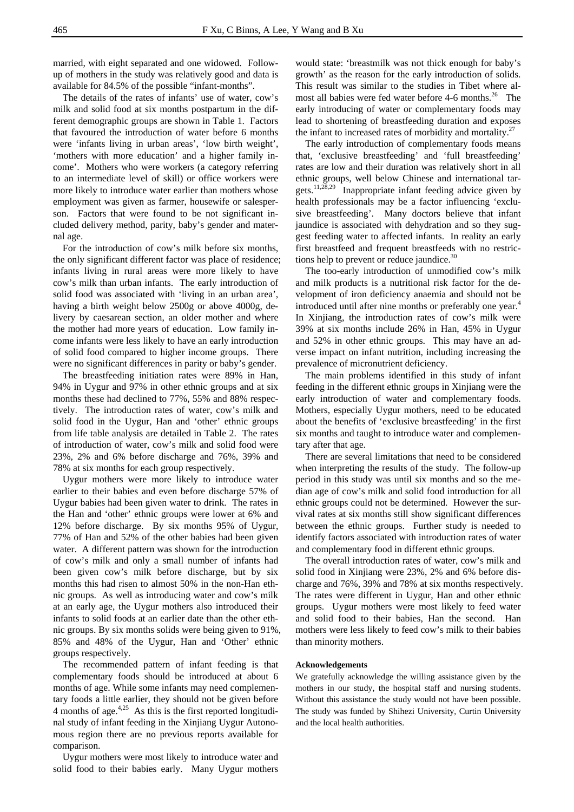married, with eight separated and one widowed. Followup of mothers in the study was relatively good and data is available for 84.5% of the possible "infant-months".

The details of the rates of infants' use of water, cow's milk and solid food at six months postpartum in the different demographic groups are shown in Table 1. Factors that favoured the introduction of water before 6 months were 'infants living in urban areas', 'low birth weight', 'mothers with more education' and a higher family income'. Mothers who were workers (a category referring to an intermediate level of skill) or office workers were more likely to introduce water earlier than mothers whose employment was given as farmer, housewife or salesperson. Factors that were found to be not significant included delivery method, parity, baby's gender and maternal age.

For the introduction of cow's milk before six months, the only significant different factor was place of residence; infants living in rural areas were more likely to have cow's milk than urban infants. The early introduction of solid food was associated with 'living in an urban area', having a birth weight below 2500g or above 4000g, delivery by caesarean section, an older mother and where the mother had more years of education. Low family income infants were less likely to have an early introduction of solid food compared to higher income groups. There were no significant differences in parity or baby's gender.

The breastfeeding initiation rates were 89% in Han, 94% in Uygur and 97% in other ethnic groups and at six months these had declined to 77%, 55% and 88% respectively. The introduction rates of water, cow's milk and solid food in the Uygur, Han and 'other' ethnic groups from life table analysis are detailed in Table 2. The rates of introduction of water, cow's milk and solid food were 23%, 2% and 6% before discharge and 76%, 39% and 78% at six months for each group respectively.

Uygur mothers were more likely to introduce water earlier to their babies and even before discharge 57% of Uygur babies had been given water to drink. The rates in the Han and 'other' ethnic groups were lower at 6% and 12% before discharge. By six months 95% of Uygur, 77% of Han and 52% of the other babies had been given water. A different pattern was shown for the introduction of cow's milk and only a small number of infants had been given cow's milk before discharge, but by six months this had risen to almost 50% in the non-Han ethnic groups. As well as introducing water and cow's milk at an early age, the Uygur mothers also introduced their infants to solid foods at an earlier date than the other ethnic groups. By six months solids were being given to 91%, 85% and 48% of the Uygur, Han and 'Other' ethnic groups respectively.

The recommended pattern of infant feeding is that complementary foods should be introduced at about 6 months of age. While some infants may need complementary foods a little earlier, they should not be given before 4 months of age. $4,25$  As this is the first reported longitudinal study of infant feeding in the Xinjiang Uygur Autonomous region there are no previous reports available for comparison.

Uygur mothers were most likely to introduce water and solid food to their babies early. Many Uygur mothers

would state: 'breastmilk was not thick enough for baby's growth' as the reason for the early introduction of solids. This result was similar to the studies in Tibet where almost all babies were fed water before 4-6 months. $26$  The early introducing of water or complementary foods may lead to shortening of breastfeeding duration and exposes the infant to increased rates of morbidity and mortality. $27$ 

The early introduction of complementary foods means that, 'exclusive breastfeeding' and 'full breastfeeding' rates are low and their duration was relatively short in all ethnic groups, well below Chinese and international targets.11,28,29 Inappropriate infant feeding advice given by health professionals may be a factor influencing 'exclusive breastfeeding'. Many doctors believe that infant jaundice is associated with dehydration and so they suggest feeding water to affected infants. In reality an early first breastfeed and frequent breastfeeds with no restrictions help to prevent or reduce jaundice.<sup>30</sup>

The too-early introduction of unmodified cow's milk and milk products is a nutritional risk factor for the development of iron deficiency anaemia and should not be introduced until after nine months or preferably one year.<sup>4</sup>  $\vdash$ In Xinjiang, the introduction rates of cow's milk were 39% at six months include 26% in Han, 45% in Uygur and 52% in other ethnic groups. This may have an adverse impact on infant nutrition, including increasing the prevalence of micronutrient deficiency.

The main problems identified in this study of infant feeding in the different ethnic groups in Xinjiang were the early introduction of water and complementary foods. Mothers, especially Uygur mothers, need to be educated about the benefits of 'exclusive breastfeeding' in the first six months and taught to introduce water and complementary after that age.

There are several limitations that need to be considered when interpreting the results of the study. The follow-up period in this study was until six months and so the median age of cow's milk and solid food introduction for all ethnic groups could not be determined. However the survival rates at six months still show significant differences between the ethnic groups. Further study is needed to identify factors associated with introduction rates of water and complementary food in different ethnic groups.

The overall introduction rates of water, cow's milk and solid food in Xinjiang were 23%, 2% and 6% before discharge and 76%, 39% and 78% at six months respectively. The rates were different in Uygur, Han and other ethnic groups. Uygur mothers were most likely to feed water and solid food to their babies, Han the second. Han mothers were less likely to feed cow's milk to their babies than minority mothers.

#### **Acknowledgements**

We gratefully acknowledge the willing assistance given by the mothers in our study, the hospital staff and nursing students. Without this assistance the study would not have been possible. The study was funded by Shihezi University, Curtin University and the local health authorities.